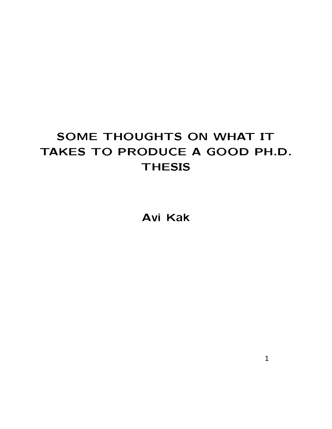#### SOME THOUGHTS ON WHAT IT TAKES TO PRODUCE A GOOD PH.D. **THESIS**

**Avi Kak**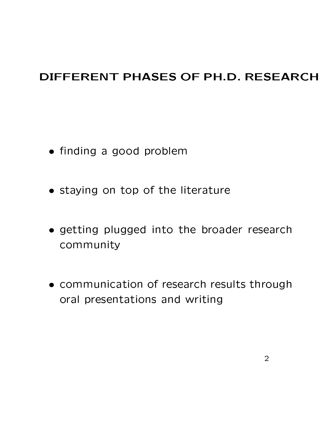#### DIFFERENT PHASES OF PH.D. RESEARCH

- finding a good problem
- staying on top of the literature
- · getting plugged into the broader research community
- communication of research results through oral presentations and writing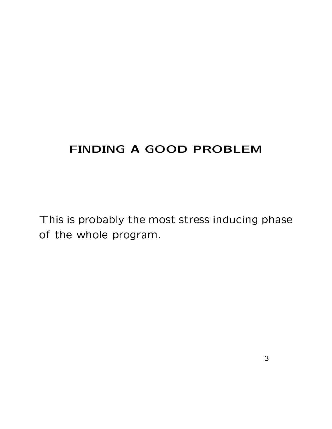#### FINDING A GOOD PROBLEM

This is probably the most stress inducing phase of the whole program.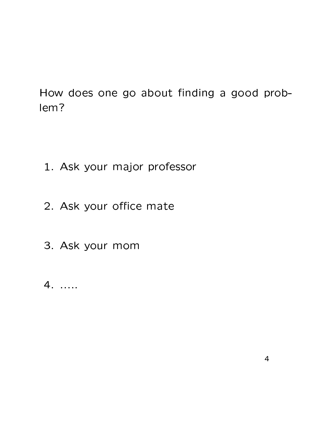How does one go about finding a good problem?

- 1. Ask your major professor
- 2. Ask your office mate
- 3. Ask your mom
- $4. \ldots$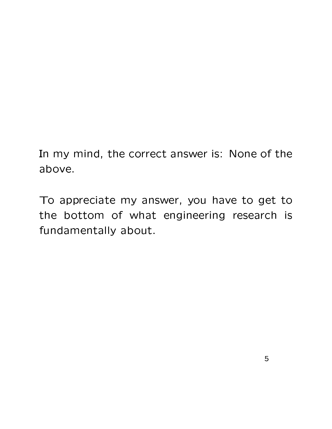In my mind, the correct answer is: None of the above.

To appreciate my answer, you have to get to the bottom of what engineering research is fundamentally about.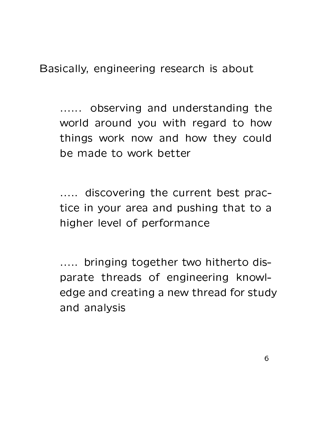Basically, engineering research is about

...... observing and understanding the world around you with regard to how things work now and how they could be made to work better

..... discovering the current best practice in your area and pushing that to a higher level of performance

..... bringing together two hitherto disparate threads of engineering knowledge and creating a new thread for study and analysis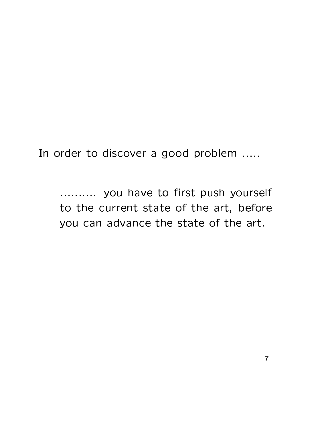$\mathsf{T}_{\mathsf{B}}$  , and  $\mathsf{B}}$  to discover a good problem

m.m.m. you have to first push yourself to the current state of the art, before you can advance the state of the art.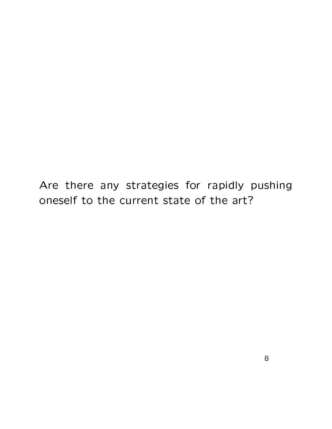Are there any strategies for rapidly pushing oneself to the current state of the art?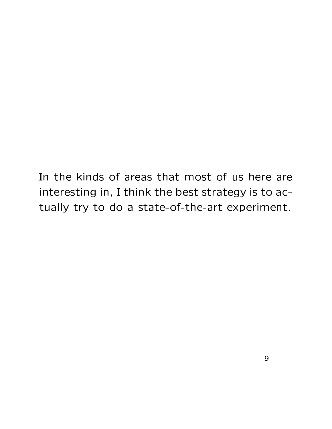In the kinds of areas that most of us here are interesting in, I think the best strategy is to actually try to do a state-of-the-art experiment.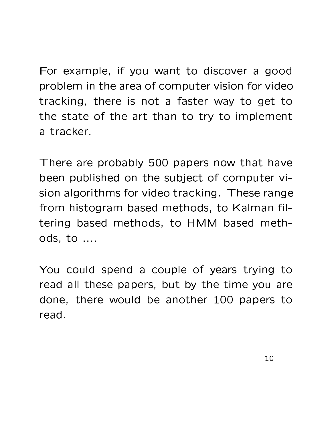For example, if you want to discover a good problem in the area of computer vision for video tracking, there is not a faster way to get to the state of the art than to try to implement a tracker.

There are probably 500 papers now that have been published on the subject of computer vision algorithms for video tracking. These range from histogram based methods, to Kalman filtering based methods, to HMM based methods. to ....

You could spend a couple of years trying to read all these papers, but by the time you are done, there would be another 100 papers to read.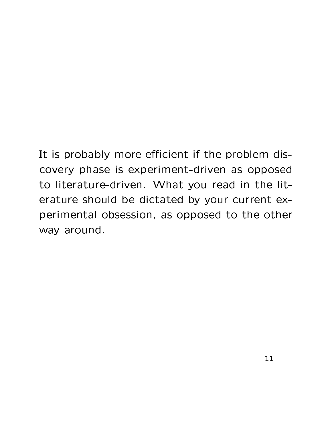It is probably more efficient if the problem discovery phase is experiment-driven as opposed to literature-driven. What you read in the literature should be dictated by your current experimental obsession, as opposed to the other way around.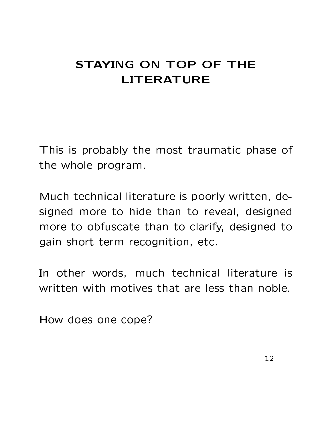## STAYING ON TOP OF THE **LITERATURE**

This is probably the most traumatic phase of the whole program.

Much technical literature is poorly written, designed more to hide than to reveal, designed more to obfuscate than to clarify, designed to gain short term recognition, etc.

In other words, much technical literature is written with motives that are less than noble.

How does one cope?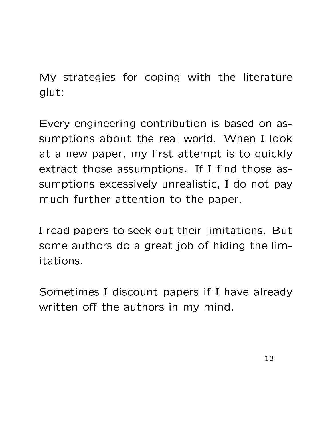My strategies for coping with the literature glut:

Every engineering contribution is based on assumptions about the real world. When I look at a new paper, my first attempt is to quickly extract those assumptions. If I find those assumptions excessively unrealistic, I do not pay much further attention to the paper.

I read papers to seek out their limitations. But some authors do a great job of hiding the limitations.

Sometimes I discount papers if I have already written off the authors in my mind.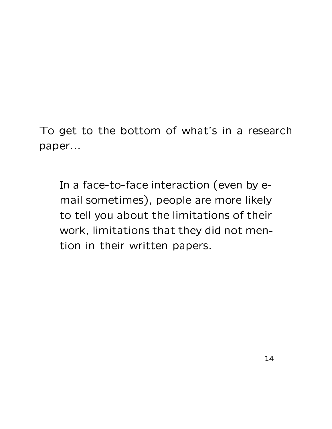To get to the bottom of what's in a research paper...

In a face-to-face interaction (even by email sometimes), people are more likely to tell you about the limitations of their work, limitations that they did not mention in their written papers.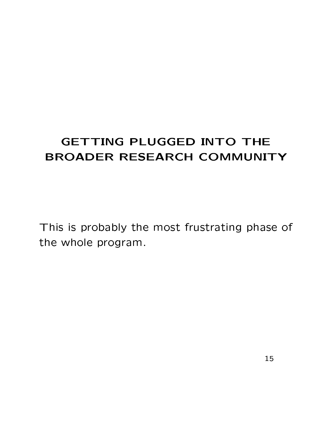## **GETTING PLUGGED INTO THE** BROADER RESEARCH COMMUNITY

This is probably the most frustrating phase of the whole program.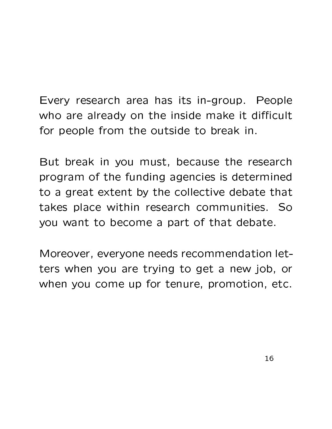# Every research area has its in-group. People who are already on the inside make it difficult

for people from the outside to break in.

But break in you must, because the research program of the funding agencies is determined to a great extent by the collective debate that takes place within research communities. So you want to become a part of that debate.

Moreover, everyone needs recommendation letters when you are trying to get a new job, or when you come up for tenure, promotion, etc.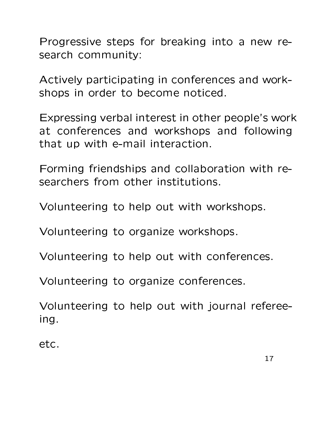Progressive steps for breaking into a new research community:

Actively participating in conferences and workshops in order to become noticed.

Expressing verbal interest in other people's work at conferences and workshops and following that up with e-mail interaction.

Forming friendships and collaboration with researchers from other institutions.

Volunteering to help out with workshops.

Volunteering to organize workshops.

Volunteering to help out with conferences.

Volunteering to organize conferences.

Volunteering to help out with journal refereeing.

etc.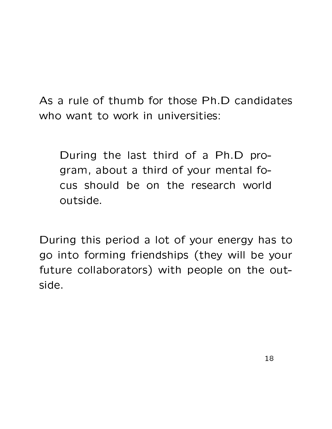As a rule of thumb for those Ph.D candidates who want to work in universities:

During the last third of a Ph.D program, about a third of your mental focus should be on the research world outside.

During this period a lot of your energy has to go into forming friendships (they will be your future collaborators) with people on the outside.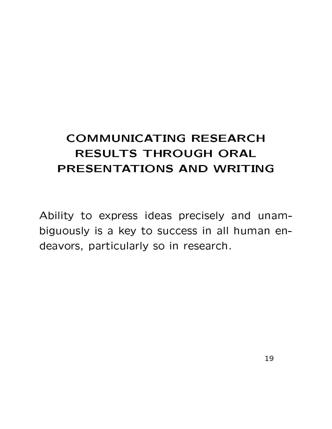## **COMMUNICATING RESEARCH RESULTS THROUGH ORAL** PRESENTATIONS AND WRITING

Ability to express ideas precisely and unambiguously is a key to success in all human endeavors, particularly so in research.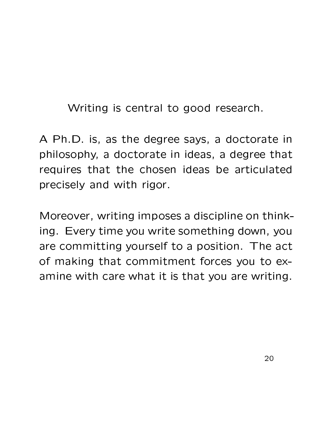Writing is central to good research.

A Ph.D. is, as the degree says, a doctorate in philosophy, a doctorate in ideas, a degree that requires that the chosen ideas be articulated precisely and with rigor.

Moreover, writing imposes a discipline on thinking. Every time you write something down, you are committing yourself to a position. The act of making that commitment forces you to examine with care what it is that you are writing.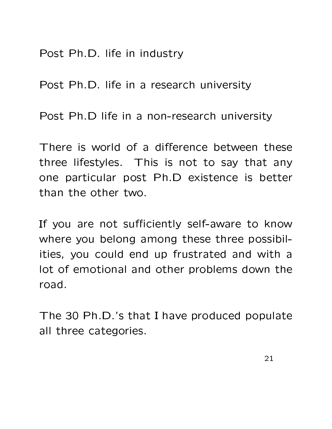Post Ph.D. life in industry

Post Ph.D. life in a research university

Post Ph.D life in a non-research university

There is world of a difference between these three lifestyles. This is not to say that any one particular post Ph.D existence is better than the other two.

If you are not sufficiently self-aware to know where you belong among these three possibilities, you could end up frustrated and with a lot of emotional and other problems down the road.

The 30 Ph.D.'s that I have produced populate all three categories.